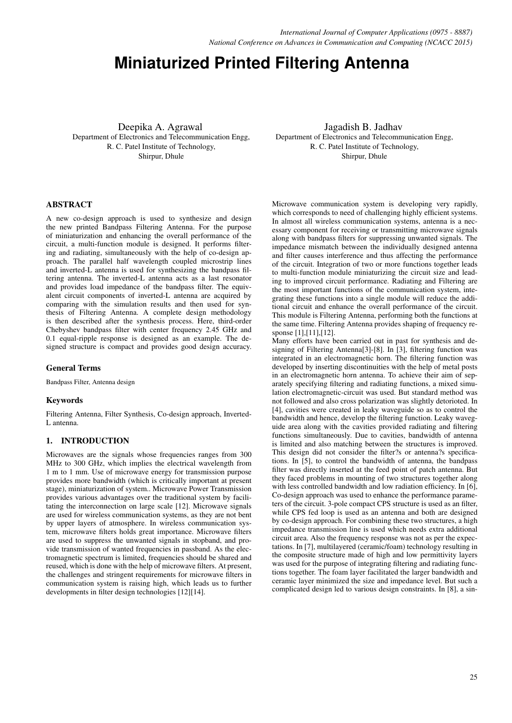# **Miniaturized Printed Filtering Antenna**

Deepika A. Agrawal Department of Electronics and Telecommunication Engg, R. C. Patel Institute of Technology, Shirpur, Dhule

Jagadish B. Jadhav Department of Electronics and Telecommunication Engg, R. C. Patel Institute of Technology, Shirpur, Dhule

## ABSTRACT

A new co-design approach is used to synthesize and design the new printed Bandpass Filtering Antenna. For the purpose of miniaturization and enhancing the overall performance of the circuit, a multi-function module is designed. It performs filtering and radiating, simultaneously with the help of co-design approach. The parallel half wavelength coupled microstrip lines and inverted-L antenna is used for synthesizing the bandpass filtering antenna. The inverted-L antenna acts as a last resonator and provides load impedance of the bandpass filter. The equivalent circuit components of inverted-L antenna are acquired by comparing with the simulation results and then used for synthesis of Filtering Antenna. A complete design methodology is then described after the synthesis process. Here, third-order Chebyshev bandpass filter with center frequency 2.45 GHz and 0.1 equal-ripple response is designed as an example. The designed structure is compact and provides good design accuracy.

#### General Terms

Bandpass Filter, Antenna design

## Keywords

Filtering Antenna, Filter Synthesis, Co-design approach, Inverted-L antenna.

## 1. INTRODUCTION

Microwaves are the signals whose frequencies ranges from 300 MHz to 300 GHz, which implies the electrical wavelength from 1 m to 1 mm. Use of microwave energy for transmission purpose provides more bandwidth (which is critically important at present stage), miniaturization of system.. Microwave Power Transmission provides various advantages over the traditional system by facilitating the interconnection on large scale [12]. Microwave signals are used for wireless communication systems, as they are not bent by upper layers of atmosphere. In wireless communication system, microwave filters holds great importance. Microwave filters are used to suppress the unwanted signals in stopband, and provide transmission of wanted frequencies in passband. As the electromagnetic spectrum is limited, frequencies should be shared and reused, which is done with the help of microwave filters. At present, the challenges and stringent requirements for microwave filters in communication system is raising high, which leads us to further developments in filter design technologies [12][14].

Microwave communication system is developing very rapidly, which corresponds to need of challenging highly efficient systems. In almost all wireless communication systems, antenna is a necessary component for receiving or transmitting microwave signals along with bandpass filters for suppressing unwanted signals. The impedance mismatch between the individually designed antenna and filter causes interference and thus affecting the performance of the circuit. Integration of two or more functions together leads to multi-function module miniaturizing the circuit size and leading to improved circuit performance. Radiating and Filtering are the most important functions of the communication system, integrating these functions into a single module will reduce the additional circuit and enhance the overall performance of the circuit. This module is Filtering Antenna, performing both the functions at the same time. Filtering Antenna provides shaping of frequency response [1],[11],[12].

Many efforts have been carried out in past for synthesis and designing of Filtering Antenna[3]-[8]. In [3], filtering function was integrated in an electromagnetic horn. The filtering function was developed by inserting discontinuities with the help of metal posts in an electromagnetic horn antenna. To achieve their aim of separately specifying filtering and radiating functions, a mixed simulation electromagnetic-circuit was used. But standard method was not followed and also cross polarization was slightly detorioted. In [4], cavities were created in leaky waveguide so as to control the bandwidth and hence, develop the filtering function. Leaky waveguide area along with the cavities provided radiating and filtering functions simultaneously. Due to cavities, bandwidth of antenna is limited and also matching between the structures is improved. This design did not consider the filter?s or antenna?s specifications. In [5], to control the bandwidth of antenna, the bandpass filter was directly inserted at the feed point of patch antenna. But they faced problems in mounting of two structures together along with less controlled bandwidth and low radiation efficiency. In [6], Co-design approach was used to enhance the performance parameters of the circuit. 3-pole compact CPS structure is used as an filter, while CPS fed loop is used as an antenna and both are designed by co-design approach. For combining these two structures, a high impedance transmission line is used which needs extra additional circuit area. Also the frequency response was not as per the expectations. In [7], multilayered (ceramic/foam) technology resulting in the composite structure made of high and low permittivity layers was used for the purpose of integrating filtering and radiating functions together. The foam layer facilitated the larger bandwidth and ceramic layer minimized the size and impedance level. But such a complicated design led to various design constraints. In [8], a sin-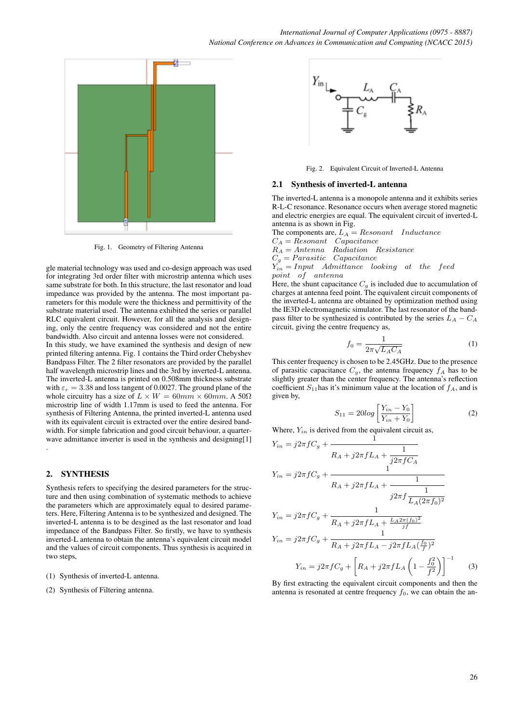

Fig. 1. Geometry of Filtering Antenna

gle material technology was used and co-design approach was used for integrating 3rd order filter with microstrip antenna which uses same substrate for both. In this structure, the last resonator and load impedance was provided by the antenna. The most important parameters for this module were the thickness and permittivity of the substrate material used. The antenna exhibited the series or parallel RLC equivalent circuit. However, for all the analysis and designing, only the centre frequency was considered and not the entire bandwidth. Also circuit and antenna losses were not considered.

In this study, we have examined the synthesis and design of new printed filtering antenna. Fig. 1 contains the Third order Chebyshev Bandpass Filter. The 2 filter resonators are provided by the parallel half wavelength microstrip lines and the 3rd by inverted-L antenna. The inverted-L antenna is printed on 0.508mm thickness substrate with  $\varepsilon_r = 3.38$  and loss tangent of 0.0027. The ground plane of the whole circuitry has a size of  $L \times W = 60mm \times 60mm$ . A  $50\Omega$ microstrip line of width 1.17mm is used to feed the antenna. For synthesis of Filtering Antenna, the printed inverted-L antenna used with its equivalent circuit is extracted over the entire desired bandwidth. For simple fabrication and good circuit behaviour, a quarterwave admittance inverter is used in the synthesis and designing[1] .

## 2. SYNTHESIS

Synthesis refers to specifying the desired parameters for the structure and then using combination of systematic methods to achieve the parameters which are approximately equal to desired parameters. Here, Filtering Antenna is to be synthesized and designed. The inverted-L antenna is to be desgined as the last resonator and load impedance of the Bandpass Filter. So firstly, we have to synthesis inverted-L antenna to obtain the antenna's equivalent circuit model and the values of circuit components. Thus synthesis is acquired in two steps,

- (1) Synthesis of inverted-L antenna.
- (2) Synthesis of Filtering antenna.



Fig. 2. Equivalent Circuit of Inverted-L Antenna

#### 2.1 Synthesis of inverted-L antenna

The inverted-L antenna is a monopole antenna and it exhibits series R-L-C resonance. Resonance occurs when average stored magnetic and electric energies are equal. The equivalent circuit of inverted-L antenna is as shown in Fig.

The components are,  $L_A = Resonant$  Inductance

 $C_A = Resonant$  Capacitance

 $R_A = Antenna$  Radiation Resistance  $C_g = Paramistic \quad Capacitance$ 

 $Y_{in} = Input$  Admittance looking at the feed

point of antenna

Here, the shunt capacitance  $C_g$  is included due to accumulation of charges at antenna feed point. The equivalent circuit components of the inverted-L antenna are obtained by optimization method using the IE3D electromagnetic simulator. The last resonator of the bandpass filter to be synthesized is contributed by the series  $L_A - C_A$ circuit, giving the centre frequency as,

$$
f_0 = \frac{1}{2\pi\sqrt{L_A C_A}}\tag{1}
$$

This center frequency is chosen to be 2.45GHz. Due to the presence of parasitic capacitance  $C_g$ , the antenna frequency  $f_A$  has to be slightly greater than the center frequency. The antenna's reflection coefficient  $S_{11}$  has it's minimum value at the location of  $f_A$ , and is given by,

$$
S_{11} = 20log\left[\frac{Y_{in} - Y_0}{Y_{in} + Y_0}\right]
$$
\n<sup>(2)</sup>

Where,  $Y_{in}$  is derived from the equivalent circuit as,

$$
Y_{in} = j2\pi fC_g + \frac{1}{R_A + j2\pi fL_A + \frac{1}{j2\pi fC_A}}
$$
  
\n
$$
Y_{in} = j2\pi fC_g + \frac{1}{R_A + j2\pi fL_A + \frac{1}{j2\pi f\frac{1}{L_A(2\pi f_0)^2}}}
$$
  
\n
$$
Y_{in} = j2\pi fC_g + \frac{1}{R_A + j2\pi fL_A + \frac{L_A 2\pi (f_0)^2}{j f}}
$$
  
\n
$$
Y_{in} = j2\pi fC_g + \frac{1}{R_A + j2\pi fL_A - j2\pi fL_A(\frac{f_0}{f})^2}
$$
  
\n
$$
Y_{in} = j2\pi fC_g + \left[R_A + j2\pi fL_A\left(1 - \frac{f_0^2}{f^2}\right)\right]^{-1}
$$
(3)

By first extracting the equivalent circuit components and then the antenna is resonated at centre frequency  $f_0$ , we can obtain the an-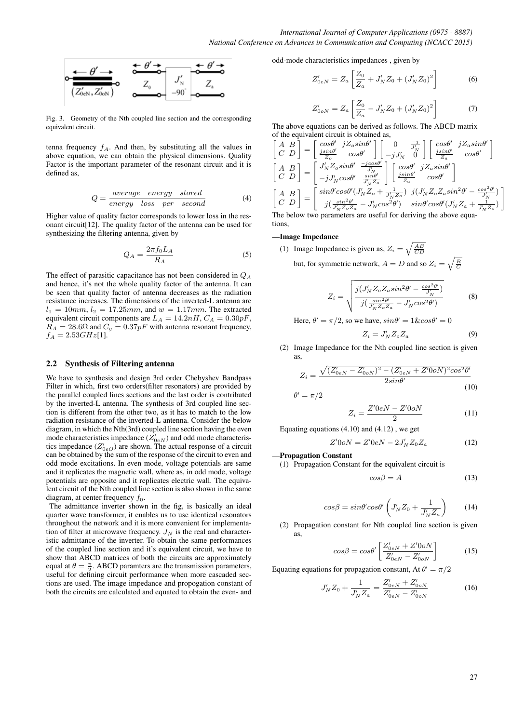

Fig. 3. Geometry of the Nth coupled line section and the corresponding equivalent circuit.

tenna frequency  $f_A$ . And then, by substituting all the values in above equation, we can obtain the physical dimensions. Quality Factor is the important parameter of the resonant circuit and it is defined as,

$$
Q = \frac{average \ energy \ stored}{energy \ loss \ per \ second} \tag{4}
$$

Higher value of quality factor corresponds to lower loss in the resonant circuit[12]. The quality factor of the antenna can be used for synthesizing the filtering antenna, given by

$$
Q_A = \frac{2\pi f_0 L_A}{R_A} \tag{5}
$$

The effect of parasitic capacitance has not been considered in  $Q_A$ and hence, it's not the whole quality factor of the antenna. It can be seen that quality factor of antenna decreases as the radiation resistance increases. The dimensions of the inverted-L antenna are  $l_1 = 10mm$ ,  $l_2 = 17.25mm$ , and  $w = 1.17mm$ . The extracted equivalent circuit components are  $L_A = 14.2nH$ ,  $C_A = 0.30pF$ ,  $R_A = 28.6\Omega$  and  $C_g = 0.37pF$  with antenna resonant frequency,  $f_A = 2.53GHz[1].$ 

## 2.2 Synthesis of Filtering antenna

We have to synthesis and design 3rd order Chebyshev Bandpass Filter in which, first two orders(filter resonators) are provided by the parallel coupled lines sections and the last order is contributed by the inverted-L antenna. The synthesis of 3rd coupled line section is different from the other two, as it has to match to the low radiation resistance of the inverted-L antenna. Consider the below diagram, in which the Nth(3rd) coupled line section having the even mode characteristics impedance  $(Z'_{0eN})$  and odd mode characteristics impedance  $(Z'_{0eO})$  are shown. The actual response of a circuit can be obtained by the sum of the response of the circuit to even and odd mode excitations. In even mode, voltage potentials are same and it replicates the magnetic wall, where as, in odd mode, voltage potentials are opposite and it replicates electric wall. The equivalent circuit of the Nth coupled line section is also shown in the same diagram, at center frequency  $f_0$ .

The admittance inverter shown in the fig, is basically an ideal quarter wave transformer, it enables us to use identical resonators throughout the network and it is more convenient for implementation of filter at microwave frequency.  $J_N$  is the real and characteristic admittance of the inverter. To obtain the same performances of the coupled line section and it's equivalent circuit, we have to show that ABCD matrices of both the circuits are approximately equal at  $\theta = \frac{\pi}{2}$ . ABCD paramters are the transmission parameters, useful for defining circuit performance when more cascaded sections are used. The image impedance and propogation constant of both the circuits are calculated and equated to obtain the even- and

odd-mode characteristics impedances , given by

$$
Z'_{0eN} = Z_a \left[ \frac{Z_0}{Z_a} + J'_N Z_0 + (J'_N Z_0)^2 \right]
$$
 (6)

$$
Z'_{0oN} = Z_a \left[ \frac{Z_0}{Z_a} - J'_N Z_0 + (J'_N Z_0)^2 \right]
$$
 (7)

The above equations can be derived as follows. The ABCD matrix of the equivalent circuit is obtained as,

$$
\begin{bmatrix} A & B \\ C & D \end{bmatrix} = \begin{bmatrix} cos\theta' & jZ_{o}sin\theta' \\ \frac{jsin\theta'}{Z_{o}} & cos\theta' \end{bmatrix} \begin{bmatrix} 0 & \frac{-j}{J_{N}} \\ -jJ_{N}' & 0 \end{bmatrix} \begin{bmatrix} cos\theta' & jZ_{a}sin\theta' \\ \frac{jsin\theta'}{Z_{a}} & cos\theta' \end{bmatrix}
$$

$$
\begin{bmatrix} A & B \\ C & D \end{bmatrix} = \begin{bmatrix} J_{N}'Z_{o}sin\theta' & \frac{-jcos\theta'}{J_{N}'} \\ -jJ_{N}'cos\theta' & \frac{sin\theta'}{J_{N}'Z_{o}} \end{bmatrix} \begin{bmatrix} cos\theta' & jZ_{a}sin\theta' \\ \frac{jsin\theta'}{Z_{a}} & cos\theta' \end{bmatrix}
$$

$$
\begin{bmatrix} A & B \\ C & D \end{bmatrix} = \begin{bmatrix} sin\theta'cos\theta'(J_{N}'Z_{o} + \frac{1}{J_{N}Z_{a}}) & j(J_{N}'Z_{o}Z_{a}sin^{2}\theta' - \frac{cos^{2}\theta'}{J_{N}'Z_{o}}) \\ j(\frac{sin^{2}\theta'}{J_{N}Z_{o}Z_{a}} - J_{N}'cos^{2}\theta') & sin\theta'cos\theta'(J_{N}'Z_{a} + \frac{1}{J_{N}Z_{o}}) \end{bmatrix}
$$
  
The below two parameters are useful for deriving the above equ-

The below two parameters are useful for deriving the above equations,

#### —Image Impedance

(1) Image Impedance is given as,  $Z_i = \sqrt{\frac{AB}{CD}}$ 

but, for symmetric network,  $A = D$  and so  $Z_i = \sqrt{\frac{B}{C}}$ 

$$
Z_i = \sqrt{\frac{j(J'_N Z_o Z_a sin^2 \theta' - \frac{cos^2 \theta'}{J'_N})}{j(\frac{sin^2 \theta'}{J'_N Z_o Z_a} - J'_N cos^2 \theta')}}
$$
(8)

Here,  $\theta' = \pi/2$ , so we have,  $sin\theta' = 1\&cos\theta' = 0$ 

$$
Z_i = J'_N Z_o Z_a \tag{9}
$$

(2) Image Impedance for the Nth coupled line section is given as,

$$
Z_{i} = \frac{\sqrt{(Z'_{0eN} - Z'_{0oN})^2 - (Z'_{0eN} + Z'_{0oN})^2 \cos^2 \theta'}}{2\sin \theta'}
$$
(10)

 $\theta' = \pi/2$ 

$$
Z_i = \frac{Z'0eN - Z'0oN}{2} \tag{11}
$$

Equating equations  $(4.10)$  and  $(4.12)$ , we get

$$
Z'0oN = Z'0eN - 2J'_N Z_0 Z_a \tag{12}
$$

#### —Propagation Constant

(1) Propagation Constant for the equivalent circuit is

$$
cos\beta = A \tag{13}
$$

$$
cos\beta = sin\theta'cos\theta' \left( J'_N Z_0 + \frac{1}{J'_N Z_a} \right) \tag{14}
$$

(2) Propagation constant for Nth coupled line section is given as,

$$
\cos\beta = \cos\theta' \left[ \frac{Z'_{0eN} + Z'_{0oN}}{Z'_{0eN} - Z'_{0oN}} \right]
$$
 (15)

Equating equations for propagation constant, At  $\theta' = \pi/2$ 

$$
J'_N Z_0 + \frac{1}{J'_N Z_a} = \frac{Z'_{0eN} + Z'_{0oN}}{Z'_{0eN} - Z'_{0oN}}
$$
(16)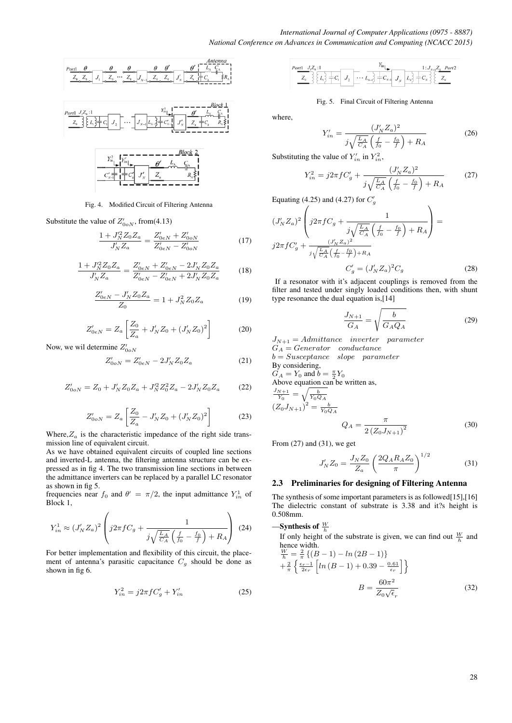

Fig. 4. Modified Circuit of Filtering Antenna

Substitute the value of  $Z'_{0oN}$ , from(4.13)

$$
\frac{1 + J_N'^2 Z_0 Z_a}{J_N' Z_a} = \frac{Z'_{0eN} + Z'_{0oN}}{Z'_{0eN} - Z'_{0oN}}
$$
(17)

$$
\frac{1+J_N'^2 Z_0 Z_a}{J_N' Z_a} = \frac{Z_{0eN}' + Z_{0eN}' - 2J_N' Z_0 Z_a}{Z_{0eN}' - Z_{0eN}' + 2J_N' Z_0 Z_a}
$$
(18)

$$
\frac{Z'_{0eN} - J'_N Z_0 Z_a}{Z_0} = 1 + J_N^2 Z_0 Z_a \tag{19}
$$

$$
Z'_{0eN} = Z_a \left[ \frac{Z_0}{Z_a} + J'_N Z_0 + (J'_N Z_0)^2 \right]
$$
 (20)

Now, we wil determine  $Z'_{00}$ 

$$
Z'_{0oN} = Z'_{0eN} - 2J'_N Z_0 Z_a \tag{21}
$$

$$
Z'_{0oN} = Z_0 + J'_N Z_0 Z_a + J'_N Z_0^2 Z_a - 2J'_N Z_0 Z_a \tag{22}
$$

$$
Z'_{0oN} = Z_a \left[ \frac{Z_0}{Z_a} - J'_N Z_0 + (J'_N Z_0)^2 \right]
$$
 (23)

Where, $Z_a$  is the characteristic impedance of the right side transmission line of equivalent circuit.

As we have obtained equivalent circuits of coupled line sections and inverted-L antenna, the filtering antenna structure can be expressed as in fig 4. The two transmission line sections in between the admittance inverters can be replaced by a parallel LC resonator as shown in fig 5.

frequencies near  $f_0$  and  $\theta' = \pi/2$ , the input admittance  $Y_{in}^1$  of Block 1,

$$
Y_{in}^{1} \approx (J_{N}'Z_{a})^{2} \left( j2\pi f C_{g} + \frac{1}{j\sqrt{\frac{L_{A}}{C_{A}}\left(\frac{f}{f_{0}} - \frac{f_{0}}{f}\right) + R_{A}}} \right) (24)
$$

For better implementation and flexibility of this circuit, the placement of antenna's parasitic capacitance  $C_g$  should be done as shown in fig 6.

$$
Y_{in}^2 = j2\pi f C'_g + Y'_{in}
$$
 (25)

$$
\frac{P_{\text{ortl}}}{Z_0} \left\{ \frac{Z_0}{Z_1} \right\} \left\{ L_1 \right\} = C_1 \left[ J_2 \left[ \cdots L_{N-1} \right] \right] = C_{N-1} \left\{ L_1 \right\} \left[ L_2 \right] \left\{ L_3 \right\} = C_N \left\{ \frac{1: J_{N+1} Z_0 \quad \text{Port2} \quad \text{for } 2 \leq N \leq N \right\} \left\{ L_3 \right\} = C_N \left\{ \frac{1}{2} \left[ J_3 \left( \frac{1}{2} \right) \right] \right\} = C_N \left\{ \frac{1}{2} \left[ \frac{1}{2} \left( \frac{1}{2} \right) \right] \right\} = C_N \left\{ \frac{1}{2} \left[ \frac{1}{2} \left( \frac{1}{2} \right) \right] \right\} = C_N \left\{ \frac{1}{2} \left[ \frac{1}{2} \left( \frac{1}{2} \right) \right] \right\} = C_N \left\{ \frac{1}{2} \left[ \frac{1}{2} \left( \frac{1}{2} \right) \right] \right\} = C_N \left\{ \frac{1}{2} \left[ \frac{1}{2} \left( \frac{1}{2} \right) \right] \right\} = C_N \left\{ \frac{1}{2} \left[ \frac{1}{2} \left( \frac{1}{2} \right) \right] \right\} = C_N \left\{ \frac{1}{2} \left[ \frac{1}{2} \left( \frac{1}{2} \right) \right] \right\} = C_N \left\{ \frac{1}{2} \left[ \frac{1}{2} \left( \frac{1}{2} \right) \right] \right\} = C_N \left\{ \frac{1}{2} \left[ \frac{1}{2} \left( \frac{1}{2} \right) \right] \right\} = C_N \left\{ \frac{1}{2} \left[ \frac{1}{2} \left( \frac{1}{2} \right) \right] \right\} = C_N \left\{ \frac{1}{2} \left[ \frac{1}{2} \left( \frac{1}{2} \right) \right] \right\} = C_N \left\{ \frac{1}{2} \left[ \frac{1}{2} \left( \frac{1}{2} \right) \right] \right\} = C_N \left\{ \frac{1}{2} \left[ \frac
$$

#### Fig. 5. Final Circuit of Filtering Antenna

where,

$$
Y'_{in} = \frac{(J'_N Z_a)^2}{j\sqrt{\frac{L_A}{C_A}} \left(\frac{f}{f_0} - \frac{f_0}{f}\right) + R_A}
$$
(26)

Substituting the value of  $Y'_{in}$  in  $Y_{in}^2$ ,

$$
Y_{in}^{2} = j2\pi f C'_{g} + \frac{(J'_{N} Z_{a})^{2}}{j\sqrt{\frac{L_{A}}{C_{A}}}\left(\frac{f}{f_{0}} - \frac{f_{0}}{f}\right) + R_{A}}
$$
(27)

Equating (4.25) and (4.27) for  $C'_g$ 

$$
(J'_{N}Z_{a})^{2} \left( j2\pi f C_{g} + \frac{1}{j\sqrt{\frac{L_{A}}{C_{A}}\left(\frac{f}{f_{0}} - \frac{f_{0}}{f}\right) + R_{A}}} \right) = j2\pi f C'_{g} + \frac{(J'_{N}Z_{a})^{2}}{j\sqrt{\frac{L_{A}}{C_{A}}\left(\frac{f}{f_{0}} - \frac{f_{0}}{f}\right) + R_{A}}} C'_{g} = (J'_{N}Z_{a})^{2} C_{g}
$$
(28)

If a resonator with it's adjacent couplings is removed from the filter and tested under singly loaded conditions then, with shunt type resonance the dual equation is,[14]

$$
\frac{J_{N+1}}{G_A} = \sqrt{\frac{b}{G_A Q_A}}\tag{29}
$$

 $J_{N+1} = \text{Admittance}$  inverter parameter  $G_A =Generator\quad conductance$  $b = Susceptance$  slope parameter By considering,  $G_A = Y_0$  and  $b = \frac{\pi}{2} Y_0$ Above equation can be written as,  $\frac{J_{N+1}}{Y_0} = \sqrt{\frac{b}{Y_0 Q_A}}$  $(Z_0 J_{N+1})^2 = \frac{b}{Y_0 Q_A}$ π

$$
Q_A = \frac{\lambda}{2\left(Z_0 J_{N+1}\right)^2} \tag{30}
$$

From (27) and (31), we get

$$
J'_N Z_0 = \frac{J_N Z_0}{Z_a} \left(\frac{2Q_A R_A Z_0}{\pi}\right)^{1/2} \tag{31}
$$

## 2.3 Preliminaries for designing of Filtering Antenna

The synthesis of some important parameters is as followed[15],[16] The dielectric constant of substrate is 3.38 and it?s height is 0.508mm.

—Synthesis of  $\frac{W}{h}$ 

If only height of the substrate is given, we can find out  $\frac{W}{h}$  and hence width.

$$
\frac{W}{h} = \frac{2}{\pi} \left\{ (B - 1) - \ln (2B - 1) \right\}
$$
  
+
$$
\frac{2}{\pi} \left\{ \frac{\epsilon_r - 1}{2\epsilon_r} \left[ \ln (B - 1) + 0.39 - \frac{0.61}{\epsilon_r} \right] \right\}
$$
  

$$
B = \frac{60\pi^2}{Z_0 \sqrt{\epsilon_r}}
$$
(32)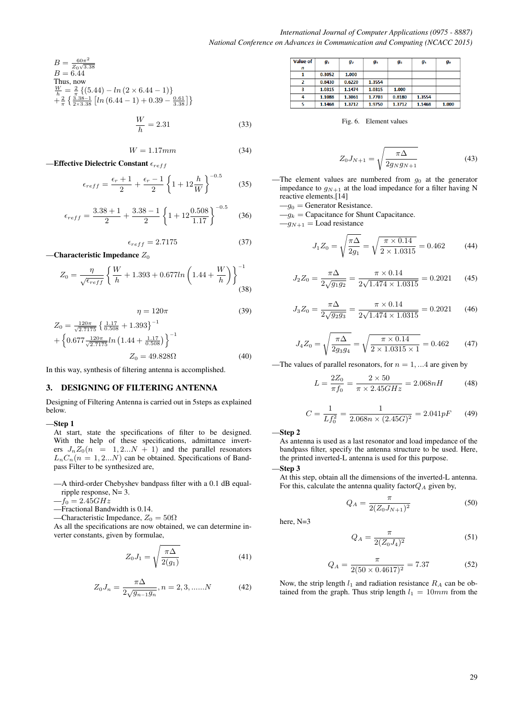$B = \frac{60\pi^2}{Z_0\sqrt{3.38}}$  $B=6.\check{4}4$ Thus, now  $\frac{W}{h} = \frac{2}{\pi} \{ (5.44) - \ln (2 \times 6.44 - 1) \}$  $+\frac{2}{\pi}\left\{\frac{3.38-1}{2\times3.38}\left[ln(6.44-1)+0.39-\frac{0.61}{3.38}\right]\right\}$ 

$$
\frac{W}{h} = 2.31\tag{33}
$$

 $W = 1.17mm$  (34)

—Effective Dielectric Constant  $\epsilon_{reff}$ 

$$
\epsilon_{reff} = \frac{\epsilon_r + 1}{2} + \frac{\epsilon_r - 1}{2} \left\{ 1 + 12 \frac{h}{W} \right\}^{-0.5}
$$
 (35)

$$
\epsilon_{reff} = \frac{3.38 + 1}{2} + \frac{3.38 - 1}{2} \left\{ 1 + 12 \frac{0.508}{1.17} \right\}^{-0.5}
$$
 (36)

$$
\epsilon_{reff} = 2.7175\tag{37}
$$

—Characteristic Impedance  $Z_0$ 

$$
Z_0 = \frac{\eta}{\sqrt{\epsilon_{reff}}} \left\{ \frac{W}{h} + 1.393 + 0.677 \ln \left( 1.44 + \frac{W}{h} \right) \right\}^{-1}
$$
(38)

$$
\eta = 120\pi \tag{39}
$$

$$
Z_0 = \frac{120\pi}{\sqrt{2.7175}} \left\{ \frac{1.17}{0.508} + 1.393 \right\}^{-1}
$$
  
+ 
$$
\left\{ 0.677 \frac{120\pi}{\sqrt{2.7175}} ln \left( 1.44 + \frac{1.17}{0.508} \right) \right\}^{-1}
$$
  

$$
Z_0 = 49.828 \Omega
$$
 (40)

In this way, synthesis of filtering antenna is accomplished.

#### 3. DESIGNING OF FILTERING ANTENNA

Designing of Filtering Antenna is carried out in 5steps as explained below.

#### —Step 1

At start, state the specifications of filter to be designed. With the help of these specifications, admittance inverters  $J_n Z_0(n = 1, 2...N + 1)$  and the parallel resonators  $L_nC_n(n = 1, 2...N)$  can be obtained. Specifications of Bandpass Filter to be synthesized are,

—A third-order Chebyshev bandpass filter with a 0.1 dB equalripple response, N= 3.

 $-f_0 = 2.45GHz$ 

—Fractional Bandwidth is 0.14.

—Characteristic Impedance,  $Z_0 = 50\Omega$ 

As all the specifications are now obtained, we can determine inverter constants, given by formulae,

$$
Z_0 J_1 = \sqrt{\frac{\pi \Delta}{2(g_1)}}
$$
\n(41)

$$
Z_0 J_n = \frac{\pi \Delta}{2\sqrt{g_{n-1}g_n}}, n = 2, 3, \dots N \tag{42}
$$

| <b>Value of</b> | $q_1$  | g2     | gз     | g <sub>4</sub> | $q_{5}$ | gв    |
|-----------------|--------|--------|--------|----------------|---------|-------|
| n               |        |        |        |                |         |       |
|                 | 0.3052 | 1.000  |        |                |         |       |
|                 | 0.8430 | 0.6220 | 1.3554 |                |         |       |
| 3               | 1.0315 | 1.1474 | 1.0315 | 1.000          |         |       |
| 4               | 1.1088 | 1.3061 | 1.7703 | 0.8180         | 1.3554  |       |
|                 | 1.1468 | 1.3712 | 1.9750 | 1.3712         | 1.1468  | 1.000 |

Fig. 6. Element values

$$
Z_0 J_{N+1} = \sqrt{\frac{\pi \Delta}{2g_N g_{N+1}}} \tag{43}
$$

—The element values are numbered from  $g_0$  at the generator impedance to  $g_{N+1}$  at the load impedance for a filter having N reactive elements.[14]

 $-g_0$  = Generator Resistance.

 $-q_k =$  Capacitance for Shunt Capacitance.

 $-g_{N+1} =$ Load resistance

$$
J_1 Z_0 = \sqrt{\frac{\pi \Delta}{2g_1}} = \sqrt{\frac{\pi \times 0.14}{2 \times 1.0315}} = 0.462
$$
 (44)

$$
J_2 Z_0 = \frac{\pi \Delta}{2\sqrt{g_1 g_2}} = \frac{\pi \times 0.14}{2\sqrt{1.474 \times 1.0315}} = 0.2021
$$
 (45)

$$
J_3 Z_0 = \frac{\pi \Delta}{2\sqrt{g_2 g_3}} = \frac{\pi \times 0.14}{2\sqrt{1.474 \times 1.0315}} = 0.2021 \tag{46}
$$

$$
J_4 Z_0 = \sqrt{\frac{\pi \Delta}{2g_3 g_4}} = \sqrt{\frac{\pi \times 0.14}{2 \times 1.0315 \times 1}} = 0.462 \tag{47}
$$

—The values of parallel resonators, for  $n = 1, ...4$  are given by

$$
L = \frac{2Z_0}{\pi f_0} = \frac{2 \times 50}{\pi \times 2.45 GHz} = 2.068nH
$$
 (48)

$$
C = \frac{1}{Lf_0^2} = \frac{1}{2.068n \times (2.45G)^2} = 2.041pF \qquad (49)
$$

—Step 2

As antenna is used as a last resonator and load impedance of the bandpass filter, specify the antenna structure to be used. Here, the printed inverted-L antenna is used for this purpose.

$$
-Step\,3
$$

At this step, obtain all the dimensions of the inverted-L antenna. For this, calculate the antenna quality factor $Q_A$  given by,

$$
Q_A = \frac{\pi}{2(Z_0 J_{N+1})^2} \tag{50}
$$

here, N=3

$$
Q_A = \frac{\pi}{2(Z_0 J_4)^2} \tag{51}
$$

$$
Q_A = \frac{\pi}{2(50 \times 0.4617)^2} = 7.37\tag{52}
$$

Now, the strip length  $l_1$  and radiation resistance  $R_A$  can be obtained from the graph. Thus strip length  $l_1 = 10mm$  from the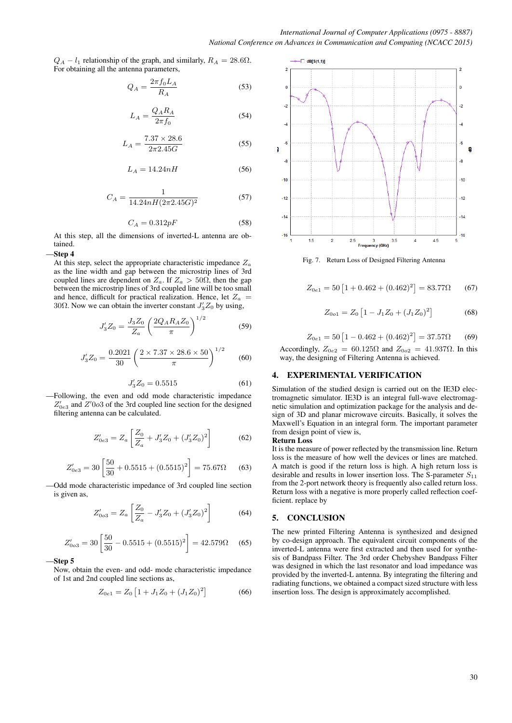$Q_A - l_1$  relationship of the graph, and similarly,  $R_A = 28.6 \Omega$ . For obtaining all the antenna parameters,

$$
Q_A = \frac{2\pi f_0 L_A}{R_A} \tag{53}
$$

$$
L_A = \frac{Q_A R_A}{2\pi f_0} \tag{54}
$$

$$
L_A = \frac{7.37 \times 28.6}{2\pi 2.45G} \tag{55}
$$

$$
L_A = 14.24nH \tag{56}
$$

$$
C_A = \frac{1}{14.24nH(2\pi 2.45G)^2}
$$
 (57)

$$
C_A = 0.312pF\tag{58}
$$

At this step, all the dimensions of inverted-L antenna are obtained.

## —Step 4

At this step, select the appropriate characteristic impedance  $Z_a$ as the line width and gap between the microstrip lines of 3rd coupled lines are dependent on  $Z_a$ . If  $Z_a > 50\Omega$ , then the gap between the microstrip lines of 3rd coupled line will be too small and hence, difficult for practical realization. Hence, let  $Z_a$  = 30 $\Omega$ . Now we can obtain the inverter constant  $J'_3Z_0$  by using,

$$
J_3'Z_0 = \frac{J_3Z_0}{Z_a} \left(\frac{2Q_A R_A Z_0}{\pi}\right)^{1/2} \tag{59}
$$

$$
J_3'Z_0 = \frac{0.2021}{30} \left( \frac{2 \times 7.37 \times 28.6 \times 50}{\pi} \right)^{1/2} \tag{60}
$$

$$
J_3'Z_0 = 0.5515\tag{61}
$$

—Following, the even and odd mode characteristic impedance  $Z'_{0e3}$  and  $Z'0o3$  of the 3rd coupled line section for the designed filtering antenna can be calculated.

$$
Z'_{0e3} = Z_a \left[ \frac{Z_0}{Z_a} + J'_3 Z_0 + (J'_3 Z_0)^2 \right]
$$
 (62)

$$
Z'_{0e3} = 30 \left[ \frac{50}{30} + 0.5515 + (0.5515)^2 \right] = 75.67 \Omega \quad (63)
$$

—Odd mode characteristic impedance of 3rd coupled line section is given as,

$$
Z'_{0o3} = Z_a \left[ \frac{Z_0}{Z_a} - J'_3 Z_0 + (J'_3 Z_0)^2 \right]
$$
 (64)

$$
Z'_{0o3} = 30 \left[ \frac{50}{30} - 0.5515 + (0.5515)^2 \right] = 42.579 \Omega \quad (65)
$$

#### —Step 5

Now, obtain the even- and odd- mode characteristic impedance of 1st and 2nd coupled line sections as,

$$
Z_{0e1} = Z_0 \left[ 1 + J_1 Z_0 + (J_1 Z_0)^2 \right] \tag{66}
$$



Fig. 7. Return Loss of Designed Filtering Antenna

$$
Z_{0e1} = 50 \left[ 1 + 0.462 + (0.462)^2 \right] = 83.77 \Omega \tag{67}
$$

$$
Z_{0o1} = Z_0 \left[ 1 - J_1 Z_0 + (J_1 Z_0)^2 \right] \tag{68}
$$

$$
Z_{0e1} = 50 \left[ 1 - 0.462 + (0.462)^2 \right] = 37.57 \Omega \tag{69}
$$

Accordingly,  $Z_{0e2} = 60.125\Omega$  and  $Z_{0e2} = 41.937\Omega$ . In this way, the designing of Filtering Antenna is achieved.

## 4. EXPERIMENTAL VERIFICATION

Simulation of the studied design is carried out on the IE3D electromagnetic simulator. IE3D is an integral full-wave electromagnetic simulation and optimization package for the analysis and design of 3D and planar microwave circuits. Basically, it solves the Maxwell's Equation in an integral form. The important parameter from design point of view is,

#### Return Loss

It is the measure of power reflected by the transmission line. Return loss is the measure of how well the devices or lines are matched. A match is good if the return loss is high. A high return loss is desirable and results in lower insertion loss. The S-parameter  $S_{11}$ from the 2-port network theory is frequently also called return loss. Return loss with a negative is more properly called reflection coefficient. replace by

## 5. CONCLUSION

The new printed Filtering Antenna is synthesized and designed by co-design approach. The equivalent circuit components of the inverted-L antenna were first extracted and then used for synthesis of Bandpass Filter. The 3rd order Chebyshev Bandpass Filter was designed in which the last resonator and load impedance was provided by the inverted-L antenna. By integrating the filtering and radiating functions, we obtained a compact sized structure with less insertion loss. The design is approximately accomplished.